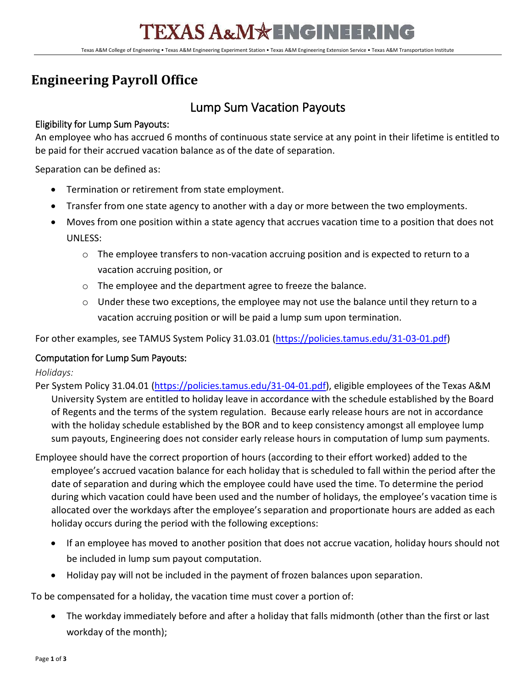Texas A&M College of Engineering • Texas A&M Engineering Experiment Station • Texas A&M Engineering Extension Service • Texas A&M Transportation Institute

## **Engineering Payroll Office**

## Lump Sum Vacation Payouts

### Eligibility for Lump Sum Payouts:

An employee who has accrued 6 months of continuous state service at any point in their lifetime is entitled to be paid for their accrued vacation balance as of the date of separation.

Separation can be defined as:

- Termination or retirement from state employment.
- Transfer from one state agency to another with a day or more between the two employments.
- Moves from one position within a state agency that accrues vacation time to a position that does not UNLESS:
	- $\circ$  The employee transfers to non-vacation accruing position and is expected to return to a vacation accruing position, or
	- o The employee and the department agree to freeze the balance.
	- $\circ$  Under these two exceptions, the employee may not use the balance until they return to a vacation accruing position or will be paid a lump sum upon termination.

For other examples, see TAMUS System Policy 31.03.01 [\(https://policies.tamus.edu/31-03-01.pdf\)](https://policies.tamus.edu/31-03-01.pdf)

### Computation for Lump Sum Payouts:

*Holidays:*

Per System Policy 31.04.01 [\(https://policies.tamus.edu/31-04-01.pdf\)](https://policies.tamus.edu/31-04-01.pdf), eligible employees of the Texas A&M University System are entitled to holiday leave in accordance with the schedule established by the Board of Regents and the terms of the system regulation. Because early release hours are not in accordance with the holiday schedule established by the BOR and to keep consistency amongst all employee lump sum payouts, Engineering does not consider early release hours in computation of lump sum payments.

Employee should have the correct proportion of hours (according to their effort worked) added to the employee's accrued vacation balance for each holiday that is scheduled to fall within the period after the date of separation and during which the employee could have used the time. To determine the period during which vacation could have been used and the number of holidays, the employee's vacation time is allocated over the workdays after the employee's separation and proportionate hours are added as each holiday occurs during the period with the following exceptions:

- If an employee has moved to another position that does not accrue vacation, holiday hours should not be included in lump sum payout computation.
- Holiday pay will not be included in the payment of frozen balances upon separation.

To be compensated for a holiday, the vacation time must cover a portion of:

• The workday immediately before and after a holiday that falls midmonth (other than the first or last workday of the month);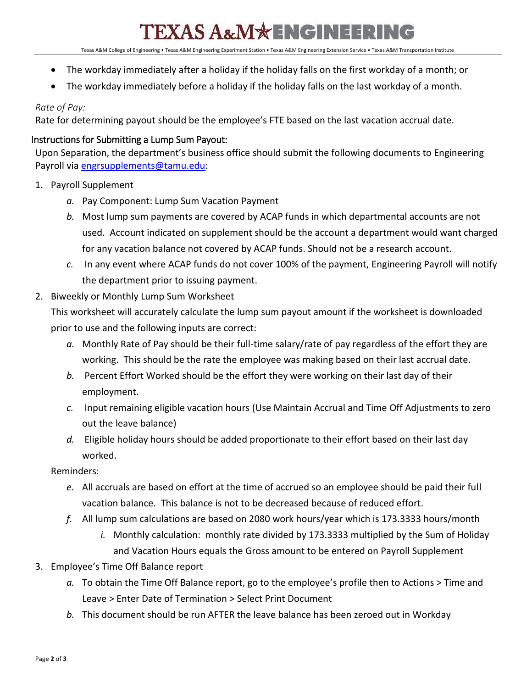# EXAS A&M\*ENGINEERING

Texas A&M College of Engineering • Texas A&M Engineering Experiment Station • Texas A&M Engineering Extension Service • Texas A&M Transportation Institute

- The workday immediately after a holiday if the holiday falls on the first workday of a month; or
- The workday immediately before a holiday if the holiday falls on the last workday of a month.

### *Rate of Pay:*

Rate for determining payout should be the employee's FTE based on the last vacation accrual date.

### Instructions for Submitting a Lump Sum Payout:

Upon Separation, the department's business office should submit the following documents to Engineering Payroll via [engrsupplements@tamu.edu:](mailto:engrsupplements@tamu.edu)

- 1. Payroll Supplement
	- *a.* Pay Component: Lump Sum Vacation Payment
	- *b.* Most lump sum payments are covered by ACAP funds in which departmental accounts are not used. Account indicated on supplement should be the account a department would want charged for any vacation balance not covered by ACAP funds. Should not be a research account.
	- *c.* In any event where ACAP funds do not cover 100% of the payment, Engineering Payroll will notify the department prior to issuing payment.
- 2. Biweekly or Monthly Lump Sum Worksheet

This worksheet will accurately calculate the lump sum payout amount if the worksheet is downloaded prior to use and the following inputs are correct:

- *a.* Monthly Rate of Pay should be their full-time salary/rate of pay regardless of the effort they are working. This should be the rate the employee was making based on their last accrual date.
- *b.* Percent Effort Worked should be the effort they were working on their last day of their employment.
- *c.* Input remaining eligible vacation hours (Use Maintain Accrual and Time Off Adjustments to zero out the leave balance)
- *d.* Eligible holiday hours should be added proportionate to their effort based on their last day worked.

#### Reminders:

- *e.* All accruals are based on effort at the time of accrued so an employee should be paid their full vacation balance. This balance is not to be decreased because of reduced effort.
- *f.* All lump sum calculations are based on 2080 work hours/year which is 173.3333 hours/month
	- *i.* Monthly calculation: monthly rate divided by 173.3333 multiplied by the Sum of Holiday and Vacation Hours equals the Gross amount to be entered on Payroll Supplement
- 3. Employee's Time Off Balance report
	- *a.* To obtain the Time Off Balance report, go to the employee's profile then to Actions > Time and Leave > Enter Date of Termination > Select Print Document
	- *b.* This document should be run AFTER the leave balance has been zeroed out in Workday